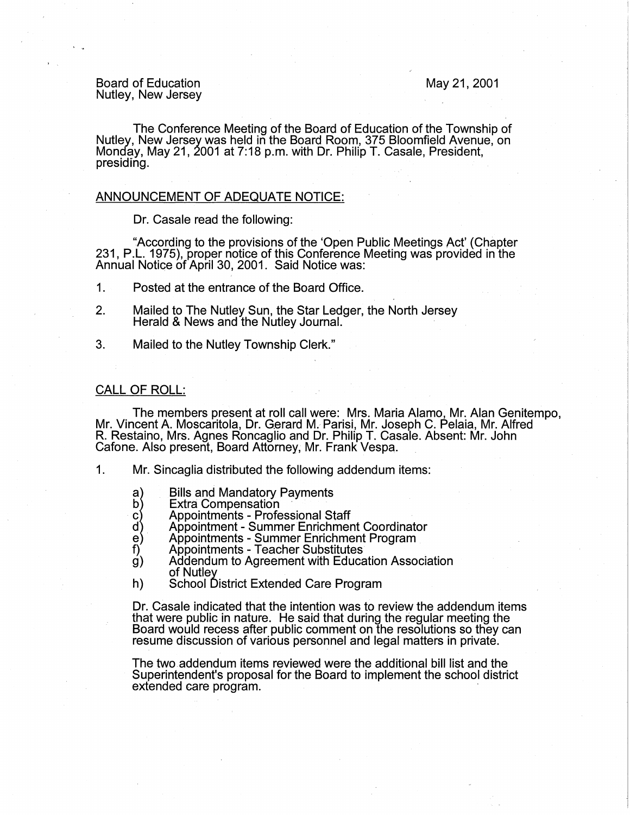## Board of Education Nutley, New Jersey

#### May 21, 2001

The Conference Meeting of the Board of Education of the Township of Nutley, New Jersey was held in the Board Room, 375 Bloomfield Avenue, on Monday, May 21, 2001 at 7:18 p.m. with Dr. Philip T. Casale, President, presiding.

## ANNOUNCEMENT OF ADEQUATE NOTICE:

Dr. Casale read the following:

"According to the provisions of the 'Open Public Meetings Act' (Chapter 231, P.L. 1975), proper notice of this Conference Meeting was provided in the Annual Notice of April 30, 2001. Said Notice was:

1. Posted at the entrance of the Board Office.

- 2. Mailed to The Nutley Sun, the Star Ledger, the North Jersey Herald & News and the Nutley Journal.
- 3. Mailed to the Nutley Township Clerk."

#### CALL OF ROLL:

The members present at roll call were: Mrs. Maria Alamo, Mr. Alan Genitempo, Mr. Vincent A. Moscaritola, Dr. Gerard M. Parisi, Mr. Joseph C. Pelaia, Mr. Alfred R. Restaino, Mrs. Agnes Roncaglio and Dr. Philip T. Casale. Absent: Mr. John Cafone. Also present, Board Attorney, Mr. Frank Vespa.

- 1. Mr. Sincaglia distributed the following addendum items:
	- Bills and Mandatory Payments
	- a)<br>b) E:<br>c) A|<br>e) A|<br>f) A| **Extra Compensation**
	- Appointments Professional Staff
	- Appointment Summer Enrichment Coordinator
	- Appointments Summer Enrichment Program
	- Appointments Teacher Substitutes
	- $\dot{g}$ ) Addendum to Agreement with Education Association of Nutley
	- h) School District Extended Care Program

Dr. Casale indicated that the intention was to review the addendum items that were public in nature. He said that during the regular meeting the Board would recess after public comment on the resolutions so they can resume discussion of various personnel and legal matters in private.

The two addendum items reviewed were the additional bill list and the Superintendent's proposal for the Board to implement the school district extended care program.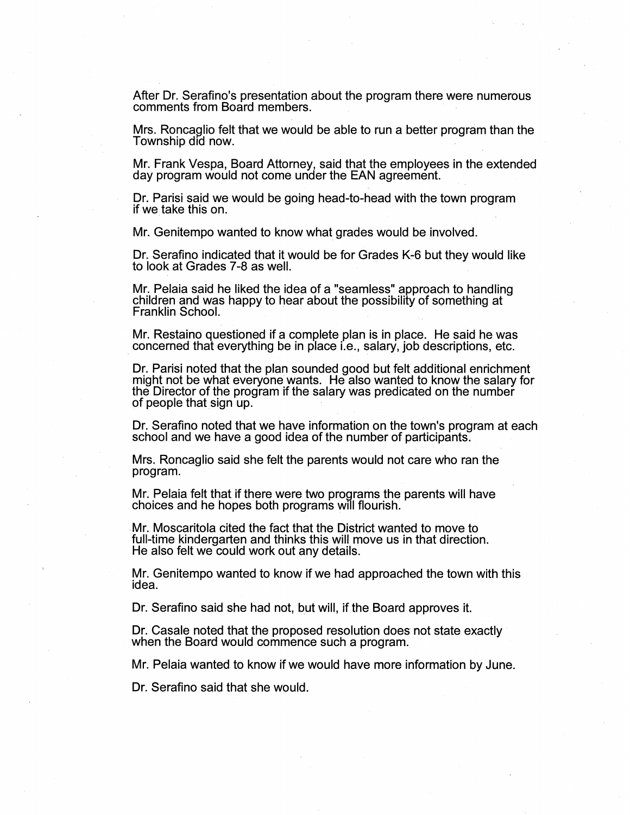After Dr. Serafino's presentation about the program there were numerous comments from Board members. .

Mrs. Roncaglio felt that we would be able to run a better program than the Township did now. -

Mr. Frank Vespa, Board Attorney, said that the employees in the extended day program would not come under the EAN agreement.

Dr. Parisi said we would be going head-to-head with the town program if we take this on.

Mr. Genitempo wanted to know what grades would be involved.

Dr. Serafino indicated that it would be for Grades K-6 but they would like to look at Grades 7-8 as well.

Mr. Pelaia said he liked the idea of a "seamless" approach to handling children and was happy to hear about the possibility of something at Franklin School. ·

Mr. Restaino questioned if a complete plan is in place. He said he was concerned that everything be in place i.e., salary, job descriptions, etc.

Dr. Parisi noted that the plan sounded good but felt additional enrichment might not be what everyone wants. He also wanted to know the salary for the Director of the program if the salary was predicated on the number of people that sign up.

Dr. Serafino noted that we have information on the town's program at each school and we have a good idea of the number of participants.

Mrs. Roncaglio said she felt the parents would not care who ran the program.

Mr. Pelaia felt that if there were two programs the parents will have choices and he hopes both programs will flourish .

. Mr. Moscaritola cited the fact that the District wanted to move to full-time kindergarten and thinks this will move us in that direction. He also felt we could work out any details.

Mr. Genitempo wanted to know if we had approached the town with this idea.

Dr. Serafino said she had not, but will, if the Board approves it.

Dr. Casale noted that the proposed resolution does not state exactly when the Board would commence such a program.

Mr. Pelaia wanted to know if we would have more information by June.

Dr. Serafino said that she would.